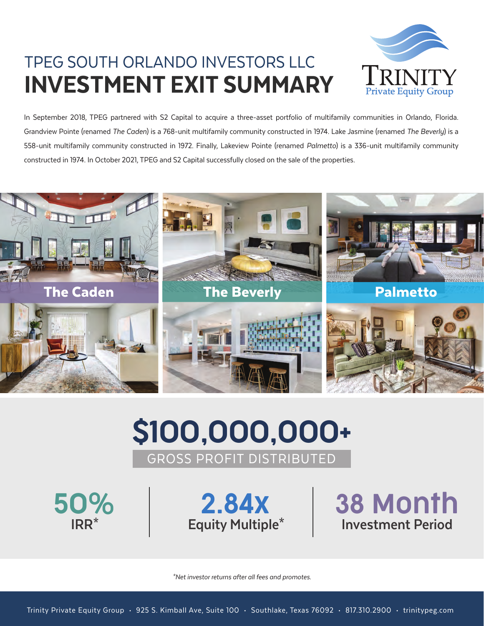## TPEG SOUTH ORLANDO INVESTORS LLC INVESTMENT EXIT SUMMARY



In September 2018, TPEG partnered with S2 Capital to acquire a three-asset portfolio of multifamily communities in Orlando, Florida. Grandview Pointe (renamed The Caden) is a 768-unit multifamily community constructed in 1974. Lake Jasmine (renamed The Beverly) is a 558-unit multifamily community constructed in 1972. Finally, Lakeview Pointe (renamed Palmetto) is a 336-unit multifamily community constructed in 1974. In October 2021, TPEG and S2 Capital successfully closed on the sale of the properties.



# \$100,000,000+ GROSS PROFIT DISTRIBUTED

50% 2.84x

**IRR\* Equity Multiple\* Investment Period** 38 Month

\*Net investor returns after all fees and promotes.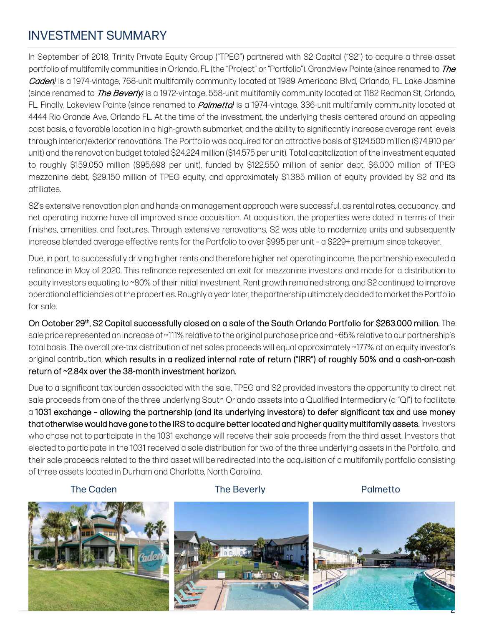## INVESTMENT SUMMARY

In September of 2018, Trinity Private Equity Group ("TPEG") partnered with S2 Capital ("S2") to acquire a three-asset portfolio of multifamily communities in Orlando, FL (the "Project" or "Portfolio"). Grandview Pointe (since renamed to *The* Caden*)* is a 1974-vintage, 768-unit multifamily community located at 1989 Americana Blvd, Orlando, FL. Lake Jasmine (since renamed to The Beverly*)* is a 1972-vintage, 558-unit multifamily community located at 1182 Redman St, Orlando, FL. Finally, Lakeview Pointe (since renamed to Palmetto*)* is a 1974-vintage, 336-unit multifamily community located at 4444 Rio Grande Ave, Orlando FL. At the time of the investment, the underlying thesis centered around an appealing cost basis, a favorable location in a high-growth submarket, and the ability to significantly increase average rent levels through interior/exterior renovations. The Portfolio was acquired for an attractive basis of \$124.500 million (\$74,910 per unit) and the renovation budget totaled \$24.224 million (\$14,575 per unit). Total capitalization of the investment equated to roughly \$159.050 million (\$95,698 per unit), funded by \$122.550 million of senior debt, \$6.000 million of TPEG mezzanine debt, \$29.150 million of TPEG equity, and approximately \$1.385 million of equity provided by S2 and its affiliates.

S2's extensive renovation plan and hands-on management approach were successful, as rental rates, occupancy, and net operating income have all improved since acquisition. At acquisition, the properties were dated in terms of their finishes, amenities, and features. Through extensive renovations, S2 was able to modernize units and subsequently increase blended average effective rents for the Portfolio to over \$995 per unit – a \$229+ premium since takeover.

Due, in part, to successfully driving higher rents and therefore higher net operating income, the partnership executed a refinance in May of 2020. This refinance represented an exit for mezzanine investors and made for a distribution to equity investors equating to ~80% of their initial investment. Rent growth remained strong, and S2 continued to improve operational efficiencies at the properties. Roughly a year later, the partnership ultimately decided to marketthe Portfolio for sale.

On October 29th, S2 Capital successfully closed on a sale of the South Orlando Portfolio for \$263.000 million. The sale price represented an increase of ~111% relative to the original purchase price and ~65% relative to our partnership's total basis. The overall pre-tax distribution of net sales proceeds will equal approximately ~177% of an equity investor's original contribution, which results in a realized internal rate of return ("IRR") of roughly 50% and a cash-on-cash return of ~2.84x over the 38-month investment horizon.

Due to a significant tax burden associated with the sale, TPEG and S2 provided investors the opportunity to direct net sale proceeds from one of the three underlying South Orlando assets into a Qualified Intermediary (a "QI") to facilitate a 1031 exchange – allowing the partnership (and its underlying investors) to defer significant tax and use money that otherwise would have gone to the IRS to acquire better located and higher quality multifamily assets. Investors who chose not to participate in the 1031 exchange will receive their sale proceeds from the third asset. Investors that elected to participate in the 1031 received a sale distribution for two of the three underlying assets in the Portfolio, and their sale proceeds related to the third asset will be redirected into the acquisition of a multifamily portfolio consisting of three assets located in Durham and Charlotte, North Carolina.